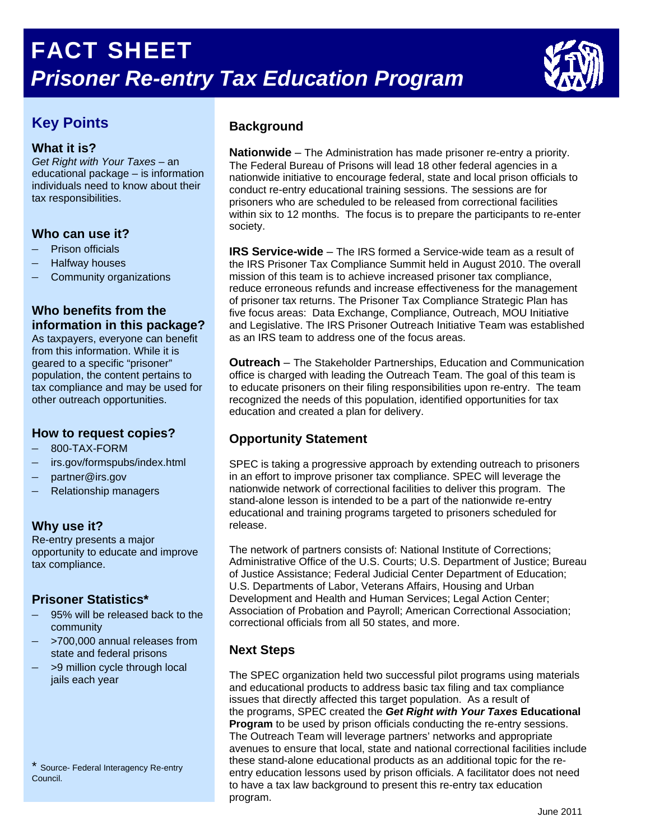

# **Key Points**

#### **What it is?**

*Get Right with Your Taxes* – an educational package – is information individuals need to know about their tax responsibilities.

#### **Who can use it?**

- Prison officials
- Halfway houses
- Community organizations

## **Who benefits from the information in this package?**

As taxpayers, everyone can benefit from this information. While it is geared to a specific "prisoner" population, the content pertains to tax compliance and may be used for other outreach opportunities.

#### **How to request copies?**

- 800-TAX-FORM
- irs.gov/formspubs/index.html
- partner@irs.gov
- Relationship managers –

#### **Why use it?**

opportunity to educate and improve tax compliance. Re-entry presents a major

#### **Prisoner Statistics\***

- $-$  95% will be released back to the community
- $-$  >700,000 annual releases from state and federal prisons
- >9 million cycle through local jails each year

\* Source- Federal Interagency Re-entry Council.

## **Background**

**Nationwide** – The Administration has made prisoner re-entry a priority. The Federal Bureau of Prisons will lead 18 other federal agencies in a nationwide initiative to encourage federal, state and local prison officials to conduct re-entry educational training sessions. The sessions are for prisoners who are scheduled to be released from correctional facilities within six to 12 months. The focus is to prepare the participants to re-enter society.

**IRS Service-wide** – The IRS formed a Service-wide team as a result of the IRS Prisoner Tax Compliance Summit held in August 2010. The overall mission of this team is to achieve increased prisoner tax compliance, reduce erroneous refunds and increase effectiveness for the management of prisoner tax returns. The Prisoner Tax Compliance Strategic Plan has five focus areas: Data Exchange, Compliance, Outreach, MOU Initiative and Legislative. The IRS Prisoner Outreach Initiative Team was established as an IRS team to address one of the focus areas.

**Outreach** – The Stakeholder Partnerships, Education and Communication office is charged with leading the Outreach Team. The goal of this team is to educate prisoners on their filing responsibilities upon re-entry. The team recognized the needs of this population, identified opportunities for tax education and created a plan for delivery.

## **Opportunity Statement**

SPEC is taking a progressive approach by extending outreach to prisoners in an effort to improve prisoner tax compliance. SPEC will leverage the nationwide network of correctional facilities to deliver this program. The stand-alone lesson is intended to be a part of the nationwide re-entry educational and training programs targeted to prisoners scheduled for release.

The network of partners consists of: National Institute of Corrections; Administrative Office of the U.S. Courts; U.S. Department of Justice; Bureau of Justice Assistance; Federal Judicial Center Department of Education; U.S. Departments of Labor, Veterans Affairs, Housing and Urban Development and Health and Human Services; Legal Action Center; Association of Probation and Payroll; American Correctional Association; correctional officials from all 50 states, and more.

# **Next Steps**

The SPEC organization held two successful pilot programs using materials and educational products to address basic tax filing and tax compliance issues that directly affected this target population. As a result of the programs, SPEC created the *Get Right with Your Taxes* **Educational Program** to be used by prison officials conducting the re-entry sessions. The Outreach Team will leverage partners' networks and appropriate avenues to ensure that local, state and national correctional facilities include these stand-alone educational products as an additional topic for the reentry education lessons used by prison officials. A facilitator does not need to have a tax law background to present this re-entry tax education program.